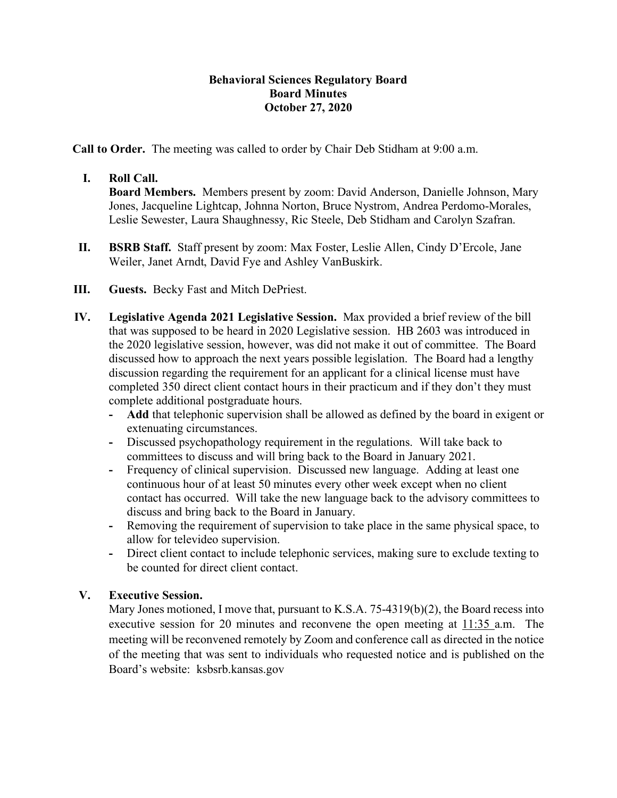## **Behavioral Sciences Regulatory Board Board Minutes October 27, 2020**

**Call to Order.** The meeting was called to order by Chair Deb Stidham at 9:00 a.m.

## **I. Roll Call.**

**Board Members.** Members present by zoom: David Anderson, Danielle Johnson, Mary Jones, Jacqueline Lightcap, Johnna Norton, Bruce Nystrom, Andrea Perdomo-Morales, Leslie Sewester, Laura Shaughnessy, Ric Steele, Deb Stidham and Carolyn Szafran.

- **II. BSRB Staff.** Staff present by zoom: Max Foster, Leslie Allen, Cindy D'Ercole, Jane Weiler, Janet Arndt, David Fye and Ashley VanBuskirk.
- **III. Guests.** Becky Fast and Mitch DePriest.
- **IV. Legislative Agenda 2021 Legislative Session.** Max provided a brief review of the bill that was supposed to be heard in 2020 Legislative session. HB 2603 was introduced in the 2020 legislative session, however, was did not make it out of committee. The Board discussed how to approach the next years possible legislation. The Board had a lengthy discussion regarding the requirement for an applicant for a clinical license must have completed 350 direct client contact hours in their practicum and if they don't they must complete additional postgraduate hours.
	- **- Add** that telephonic supervision shall be allowed as defined by the board in exigent or extenuating circumstances.
	- **-** Discussed psychopathology requirement in the regulations. Will take back to committees to discuss and will bring back to the Board in January 2021.
	- **-** Frequency of clinical supervision. Discussed new language. Adding at least one continuous hour of at least 50 minutes every other week except when no client contact has occurred. Will take the new language back to the advisory committees to discuss and bring back to the Board in January.
	- **-** Removing the requirement of supervision to take place in the same physical space, to allow for televideo supervision.
	- **-** Direct client contact to include telephonic services, making sure to exclude texting to be counted for direct client contact.

## **V. Executive Session.**

Mary Jones motioned, I move that, pursuant to K.S.A. 75-4319(b)(2), the Board recess into executive session for 20 minutes and reconvene the open meeting at 11:35 a.m. The meeting will be reconvened remotely by Zoom and conference call as directed in the notice of the meeting that was sent to individuals who requested notice and is published on the Board's website: ksbsrb.kansas.gov